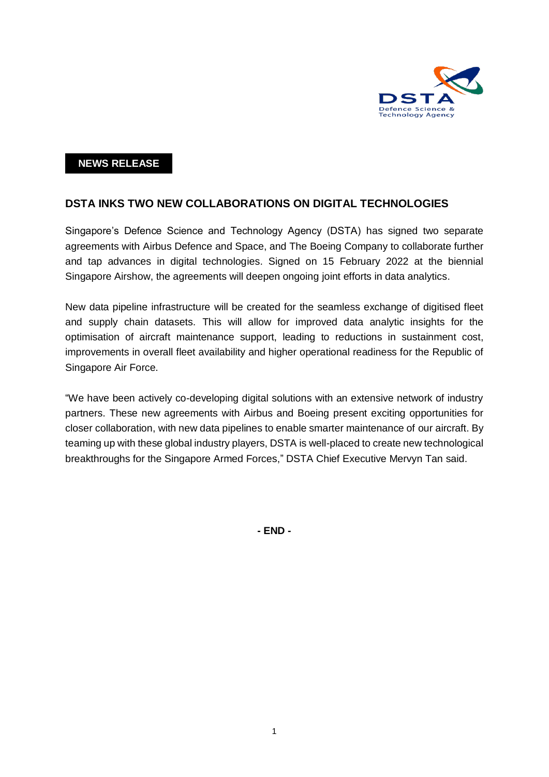

## **NEWS RELEASE**

## **DSTA INKS TWO NEW COLLABORATIONS ON DIGITAL TECHNOLOGIES**

Singapore's Defence Science and Technology Agency (DSTA) has signed two separate agreements with Airbus Defence and Space, and The Boeing Company to collaborate further and tap advances in digital technologies. Signed on 15 February 2022 at the biennial Singapore Airshow, the agreements will deepen ongoing joint efforts in data analytics.

New data pipeline infrastructure will be created for the seamless exchange of digitised fleet and supply chain datasets. This will allow for improved data analytic insights for the optimisation of aircraft maintenance support, leading to reductions in sustainment cost, improvements in overall fleet availability and higher operational readiness for the Republic of Singapore Air Force.

"We have been actively co-developing digital solutions with an extensive network of industry partners. These new agreements with Airbus and Boeing present exciting opportunities for closer collaboration, with new data pipelines to enable smarter maintenance of our aircraft. By teaming up with these global industry players, DSTA is well-placed to create new technological breakthroughs for the Singapore Armed Forces," DSTA Chief Executive Mervyn Tan said.

**- END -**